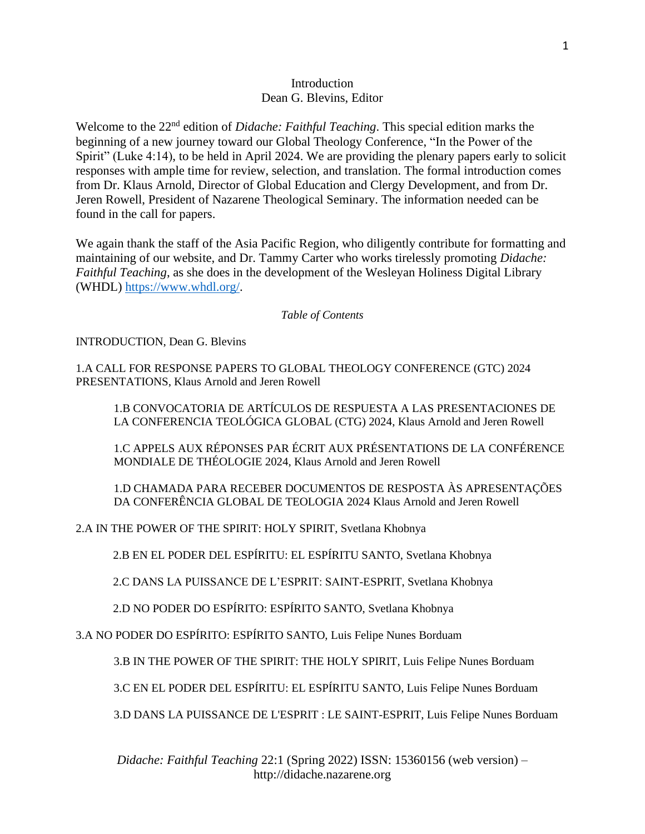## **Introduction** Dean G. Blevins, Editor

Welcome to the 22<sup>nd</sup> edition of *Didache: Faithful Teaching*. This special edition marks the beginning of a new journey toward our Global Theology Conference, "In the Power of the Spirit" (Luke 4:14), to be held in April 2024. We are providing the plenary papers early to solicit responses with ample time for review, selection, and translation. The formal introduction comes from Dr. Klaus Arnold, Director of Global Education and Clergy Development, and from Dr. Jeren Rowell, President of Nazarene Theological Seminary. The information needed can be found in the call for papers.

We again thank the staff of the Asia Pacific Region, who diligently contribute for formatting and maintaining of our website, and Dr. Tammy Carter who works tirelessly promoting *Didache: Faithful Teaching*, as she does in the development of the Wesleyan Holiness Digital Library (WHDL) [https://www.whdl.org/.](https://www.whdl.org/)

*Table of Contents*

INTRODUCTION, Dean G. Blevins

1.A CALL FOR RESPONSE PAPERS TO GLOBAL THEOLOGY CONFERENCE (GTC) 2024 PRESENTATIONS, Klaus Arnold and Jeren Rowell

1.B CONVOCATORIA DE ARTÍCULOS DE RESPUESTA A LAS PRESENTACIONES DE LA CONFERENCIA TEOLÓGICA GLOBAL (CTG) 2024, Klaus Arnold and Jeren Rowell

1.C APPELS AUX RÉPONSES PAR ÉCRIT AUX PRÉSENTATIONS DE LA CONFÉRENCE MONDIALE DE THÉOLOGIE 2024, Klaus Arnold and Jeren Rowell

1.D CHAMADA PARA RECEBER DOCUMENTOS DE RESPOSTA ÀS APRESENTAÇÕES DA CONFERÊNCIA GLOBAL DE TEOLOGIA 2024 Klaus Arnold and Jeren Rowell

2.A IN THE POWER OF THE SPIRIT: HOLY SPIRIT, Svetlana Khobnya

2.B EN EL PODER DEL ESPÍRITU: EL ESPÍRITU SANTO, Svetlana Khobnya

2.C DANS LA PUISSANCE DE L'ESPRIT: SAINT-ESPRIT, Svetlana Khobnya

2.D NO PODER DO ESPÍRITO: ESPÍRITO SANTO, Svetlana Khobnya

3.A NO PODER DO ESPÍRITO: ESPÍRITO SANTO, Luis Felipe Nunes Borduam

3.B IN THE POWER OF THE SPIRIT: THE HOLY SPIRIT, Luis Felipe Nunes Borduam

3.C EN EL PODER DEL ESPÍRITU: EL ESPÍRITU SANTO, Luis Felipe Nunes Borduam

3.D DANS LA PUISSANCE DE L'ESPRIT : LE SAINT-ESPRIT, Luis Felipe Nunes Borduam

*Didache: Faithful Teaching* 22:1 (Spring 2022) ISSN: 15360156 (web version) – http://didache.nazarene.org